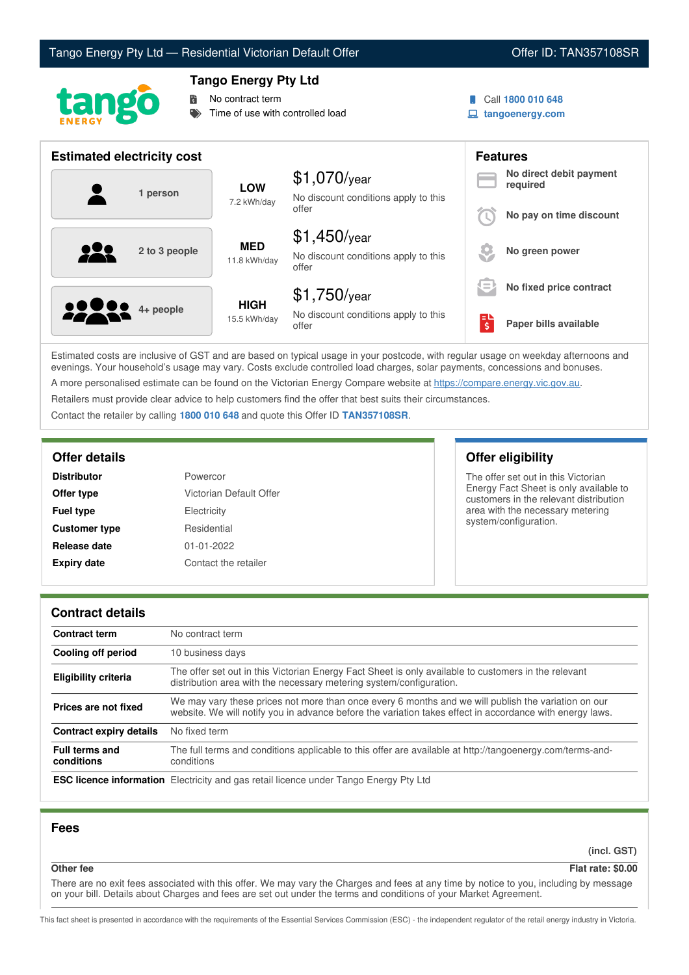# Tango Energy Pty Ltd — Residential Victorian Default Offer **Communist Communist Communist Communist Communist Communist Communist Communist Communist Communist Communist Communist Communist Communist Communist Communist Co**





# **Tango Energy Pty Ltd**

No contract term

Time of use with controlled load

- Call **1800 010 648**
- **tangoenergy.com**

| <b>Estimated electricity cost</b> |                             |                                                                 |     | <b>Features</b>                     |
|-----------------------------------|-----------------------------|-----------------------------------------------------------------|-----|-------------------------------------|
| 1 person                          | <b>LOW</b><br>7.2 kWh/day   | $$1,070$ /year<br>No discount conditions apply to this          |     | No direct debit payment<br>required |
|                                   |                             | offer                                                           |     | No pay on time discount             |
| 222<br>2 to 3 people              | <b>MED</b><br>11.8 kWh/day  | $$1,450$ /year<br>No discount conditions apply to this<br>offer |     | No green power                      |
|                                   |                             | $$1,750$ /year                                                  | $=$ | No fixed price contract             |
| <b>2200</b> 4+ people             | <b>HIGH</b><br>15.5 kWh/day | No discount conditions apply to this<br>offer                   | \$  | Paper bills available               |

Estimated costs are inclusive of GST and are based on typical usage in your postcode, with regular usage on weekday afternoons and evenings. Your household's usage may vary. Costs exclude controlled load charges, solar payments, concessions and bonuses. A more personalised estimate can be found on the Victorian Energy Compare website at <https://compare.energy.vic.gov.au>.

Retailers must provide clear advice to help customers find the offer that best suits their circumstances.

Contact the retailer by calling **1800 010 648** and quote this Offer ID **TAN357108SR**.

| <b>Distributor</b>   | Powercor                |
|----------------------|-------------------------|
| Offer type           | Victorian Default Offer |
| <b>Fuel type</b>     | Electricity             |
| <b>Customer type</b> | Residential             |
| Release date         | 01-01-2022              |
| <b>Expiry date</b>   | Contact the retailer    |

# **Offer details Offer eligibility**

The offer set out in this Victorian Energy Fact Sheet is only available to customers in the relevant distribution area with the necessary metering system/configuration.

## **Contract details**

| <b>Contract term</b>                | No contract term                                                                                                                                                                                                |
|-------------------------------------|-----------------------------------------------------------------------------------------------------------------------------------------------------------------------------------------------------------------|
| Cooling off period                  | 10 business days                                                                                                                                                                                                |
| <b>Eligibility criteria</b>         | The offer set out in this Victorian Energy Fact Sheet is only available to customers in the relevant<br>distribution area with the necessary metering system/configuration.                                     |
| Prices are not fixed                | We may vary these prices not more than once every 6 months and we will publish the variation on our<br>website. We will notify you in advance before the variation takes effect in accordance with energy laws. |
| <b>Contract expiry details</b>      | No fixed term                                                                                                                                                                                                   |
| <b>Full terms and</b><br>conditions | The full terms and conditions applicable to this offer are available at http://tangoenergy.com/terms-and-<br>conditions                                                                                         |
|                                     | <b>ESC licence information</b> Electricity and gas retail licence under Tango Energy Pty Ltd                                                                                                                    |

## **Fees**

**(incl. GST)**

# **Other fee Flat rate: \$0.00**

There are no exit fees associated with this offer. We may vary the Charges and fees at any time by notice to you, including by message on your bill. Details about Charges and fees are set out under the terms and conditions of your Market Agreement.

This fact sheet is presented in accordance with the requirements of the Essential Services Commission (ESC) - the independent regulator of the retail energy industry in Victoria.